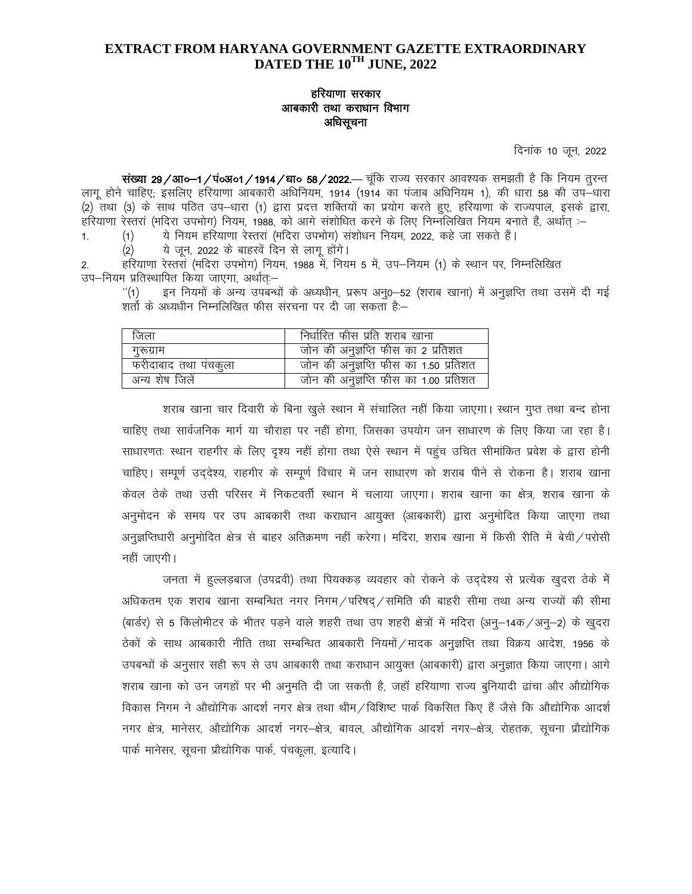## **EXTRACT FROM HARYANA GOVERNMENT GAZETTE EXTRAORDINARY** DATED THE 10TH JUNE, 2022

# हरियाणा सरकार आबकारी तथा कराधान विभाग अधिसूचना

दिनांक 10 जून, 2022

संख्या 29/आ०-1/पं०अ०1/1914/धा० 58/2022.— चूंकि राज्य सरकार आवश्यक समझती है कि नियम तूरन्त लागू होने चाहिए; इसलिए हरियाणा आबकारी अधिनियम, 1914 (1914 का पंजाब अधिनियम 1), की धारा 58 की उप—धारा (2) तथा (3) के साथ पठित उप–धारा (1) द्वारा प्रदत्त शक्तियों का प्रयोग करते हुए, हरियाणा के राज्यपाल, इसके द्वारा, हरियाणा रेस्तरां (मदिरा उपभोग) नियम, 1988, को आगे संशोधित करने के लिए निम्नलिखित नियम बनाते हैं, अर्थात् :-

ये नियम हरियाणा रेस्तरां (मदिरा उपभोग) संशोधन नियम, 2022, कहे जा सकते हैं।  $(1)$ 

ये जून, 2022 के बाहरवें दिन से लागू होंगे।  $(2)$ 

 $\mathbf{1}$ 

हरियाणा रेस्तरां (मदिरा उपभोग) नियम, 1988 में, नियम 5 में, उप–नियम (1) के स्थान पर, निम्नलिखित  $2.$ उप–नियम प्रतिस्थापित किया जाएगा, अर्थात्:–

 $^{\prime\prime}(1)$ शर्तो के अध्यधीन निम्नलिखित फीस संरचना पर दी जा सकता है:–

| जिला                 | निर्धारित फीस प्रति शराब खाना         |
|----------------------|---------------------------------------|
| गुरूग्राम            | जोन की अनुज्ञप्ति फीस का 2 प्रतिशत    |
| फरीदाबाद तथा पंचकुला | जोन की अनुज्ञप्ति फीस का 1.50 प्रतिशत |
| अन्य शेष जिलें       | जोन की अनुज्ञप्ति फीस का 1.00 प्रतिशत |

शराब खाना चार दिवारी के बिना खुले स्थान में संचालित नहीं किया जाएगा। स्थान गुप्त तथा बन्द होना चाहिए तथा सार्वजनिक मार्ग या चौराहा पर नहीं होगा. जिसका उपयोग जन साधारण के लिए किया जा रहा है। साधारणतः स्थान राहगीर के लिए दृश्य नहीं होगा तथा ऐसे स्थान में पहुंच उचित सीमांकित प्रवेश के द्वारा होनी चाहिए। सम्पूर्ण उद्देश्य, राहगीर के सम्पूर्ण विचार में जन साधारण को शराब पीने से रोकना है। शराब खाना केवल ठेके तथा उसी परिसर में निकटवर्ती स्थान में चलाया जाएगा। शराब खाना का क्षेत्र, शराब खाना के अनुमोदन के समय पर उप आबकारी तथा कराधान आयुक्त (आबकारी) द्वारा अनुमोदित किया जाएगा तथा अनुज्ञप्तिधारी अनुमोदित क्षेत्र से बाहर अतिक्रमण नहीं करेगा। मदिरा, शराब खाना में किसी रीति में बेची / परोसी नहीं जाएगी।

जनता में हुल्लड़बाज (उपद्रवी) तथा पियक्कड़ व्यवहार को रोकने के उद्देश्य से प्रत्येक खुदरा ठेके में अधिकतम एक शराब खाना सम्बन्धित नगर निगम / परिषद / समिति की बाहरी सीमा तथा अन्य राज्यों की सीमा (बार्डर) से 5 किलोमीटर के भीतर पड़ने वाले शहरी तथा उप शहरी क्षेत्रों में मदिरा (अनू-14क /अनू-2) के खुदरा ठेकों के साथ आबकारी नीति तथा सम्बन्धित आबकारी नियमों /मादक अनुज्ञप्ति तथा विक्रय आदेश, 1956 के उपबन्धों के अनुसार सही रूप से उप आबकारी तथा कराधान आयुक्त (आबकारी) द्वारा अनुज्ञात किया जाएगा। आगे शराब खाना को उन जगहों पर भी अनुमति दी जा सकती है, जहाँ हरियाणा राज्य बुनियादी ढांचा और औद्योगिक विकास निगम ने औद्योगिक आदर्श नगर क्षेत्र तथा थीम / विशिष्ट पार्क विकसित किए हैं जैसे कि औद्योगिक आदर्श नगर क्षेत्र, मानेसर, औद्योगिक आदर्श नगर–क्षेत्र, बावल, औद्योगिक आदर्श नगर–क्षेत्र, रोहतक, सूचना प्रौद्योगिक पार्क मानेसर, सूचना प्रौद्योगिक पार्क, पंचकूला, इत्यादि।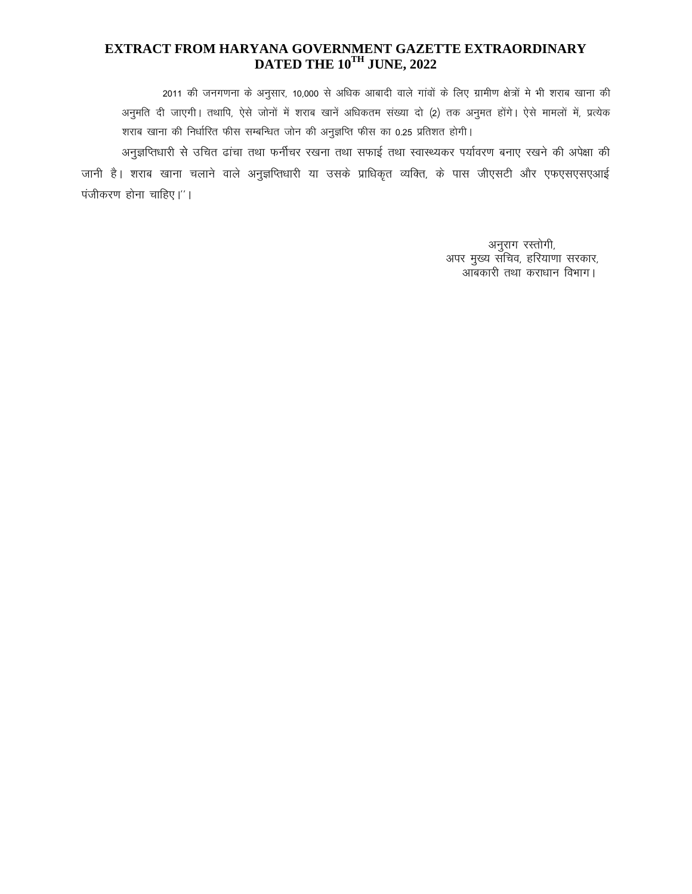# EXTRACT FROM HARYANA GOVERNMENT GAZETTE EXTRAORDINARY DATED THE 10TH JUNE, 2022

2011 की जनगणना के अनुसार, 10,000 से अधिक आबादी वाले गांवों के लिए ग्रामीण क्षेत्रों मे भी शराब खाना की अनुमति दी जाएगी। तथापि, ऐसे जोनों में शराब खानें अधिकतम संख्या दो (2) तक अनुमत होंगे। ऐसे मामलों में, प्रत्येक शराब खाना की निर्धारित फीस सम्बन्धित जोन की अनुज्ञप्ति फीस का 0.25 प्रतिशत होगी।

अनुज्ञप्तिधारी से उचित ढांचा तथा फर्नीचर रखना तथा सफाई तथा स्वास्थ्यकर पर्यावरण बनाए रखने की अपेक्षा की जानी है। शराब खाना चलाने वाले अनुज्ञप्तिधारी या उसके प्राधिकृत व्यक्ति, के पास जीएसटी और एफएसएसएआई पंजीकरण होना चाहिए।"।

> अनुराग रस्तोगी, अपर मुख्य सचिव, हरियाणा सरकार, आंबकारी तथा कराधान विभाग।